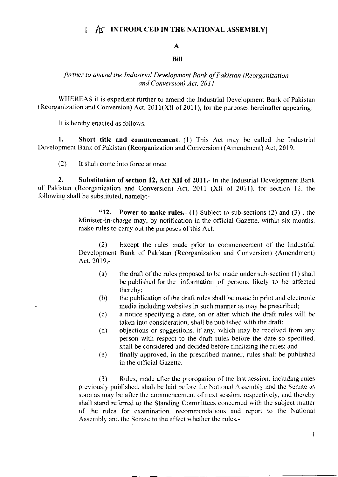#### $\mathbf{I}$ A INTRODUCED IN THE NATIONAL ASSEMBLY

### A

## **Bill**

## further to amend the Industrial Development Bank of Pakistan (Reorganization and Conversion) Act. 2011

WHEREAS it is expedient further to amend the Industrial Development Bank of Pakistan (Reorganization and Conversion) Act, 2011(XII of 2011), for the purposes hereinafter appearing;

It is hereby enacted as follows:-

1. Short title and commencement.  $(1)$  This Act may be called the Industrial Development Bank of Pakistan (Reorganization and Conversion) (Amendment) Act, 2019.

 $(2)$ It shall come into force at once.

 $2.$ Substitution of section 12, Act XII of 2011. In the Industrial Development Bank of Pakistan (Reorganization and Conversion) Act, 2011 (XII of 2011), for section 12, the following shall be substituted, namely:-

> $"12."$ **Power to make rules.**- (1) Subject to sub-sections (2) and (3), the Minister-in-charge may, by notification in the official Gazette, within six months, make rules to carry out the purposes of this Act.

> $(2)$ Except the rules made prior to commencement of the Industrial Development Bank of Pakistan (Reorganization and Conversion) (Amendment) Act. 2019.-

- $(a)$ the draft of the rules proposed to be made under sub-section (1) shall be published for the information of persons likely to be affected thereby:
- the publication of the draft rules shall be made in print and electronic  $(b)$ media including websites in such manner as may be prescribed;
- a notice specifying a date, on or after which the draft rules will be  $(c)$ taken into consideration, shall be published with the draft;
- $(d)$ objections or suggestions, if any, which may be received from any person with respect to the draft rules before the date so specified, shall be considered and decided before finalizing the rules; and
- finally approved, in the prescribed manner, rules shall be published  $(e)$ in the official Gazette.

Rules, made after the prorogation of the last session, including rules  $(3)$ previously published, shall be laid before the National Assembly and the Senate as soon as may be after the commencement of next session, respectively, and thereby shall stand referred to the Standing Committees concerned with the subject matter of the rules for examination, recommendations and report to the National Assembly and the Scnate to the effect whether the rules,-

 $\overline{1}$